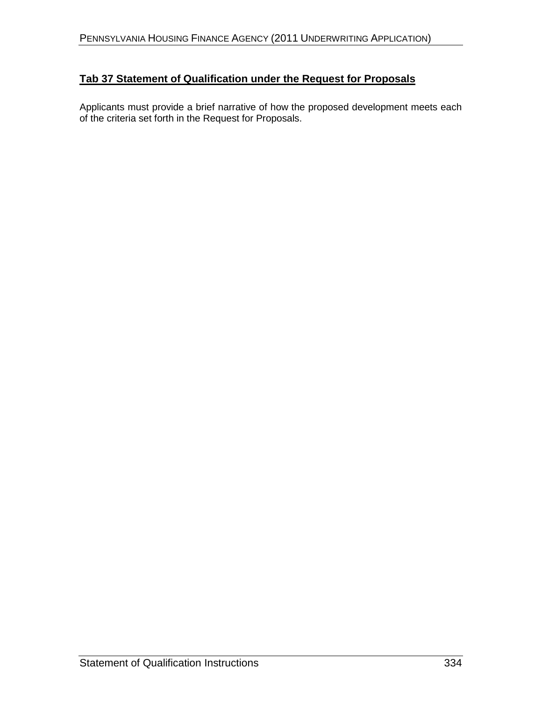# **Tab 37 Statement of Qualification under the Request for Proposals**

Applicants must provide a brief narrative of how the proposed development meets each of the criteria set forth in the Request for Proposals.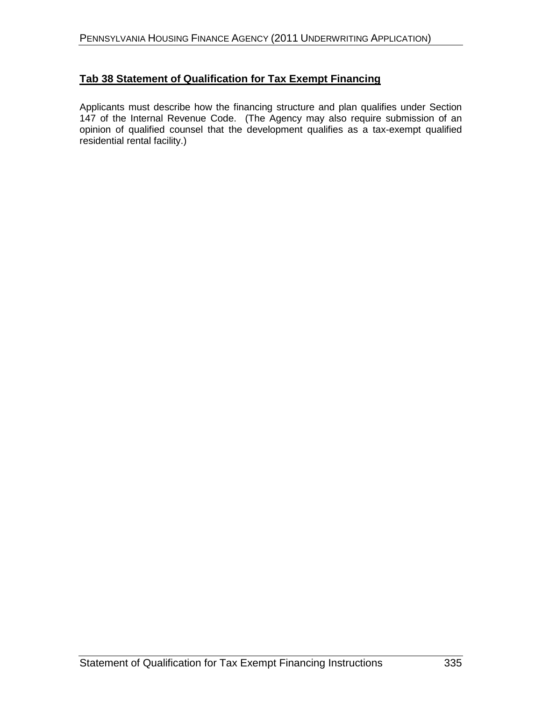### **Tab 38 Statement of Qualification for Tax Exempt Financing**

Applicants must describe how the financing structure and plan qualifies under Section 147 of the Internal Revenue Code. (The Agency may also require submission of an opinion of qualified counsel that the development qualifies as a tax-exempt qualified residential rental facility.)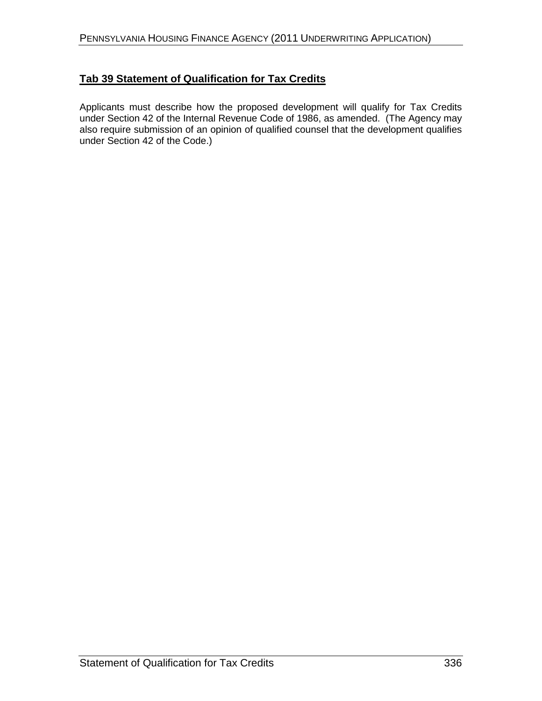### **Tab 39 Statement of Qualification for Tax Credits**

Applicants must describe how the proposed development will qualify for Tax Credits under Section 42 of the Internal Revenue Code of 1986, as amended. (The Agency may also require submission of an opinion of qualified counsel that the development qualifies under Section 42 of the Code.)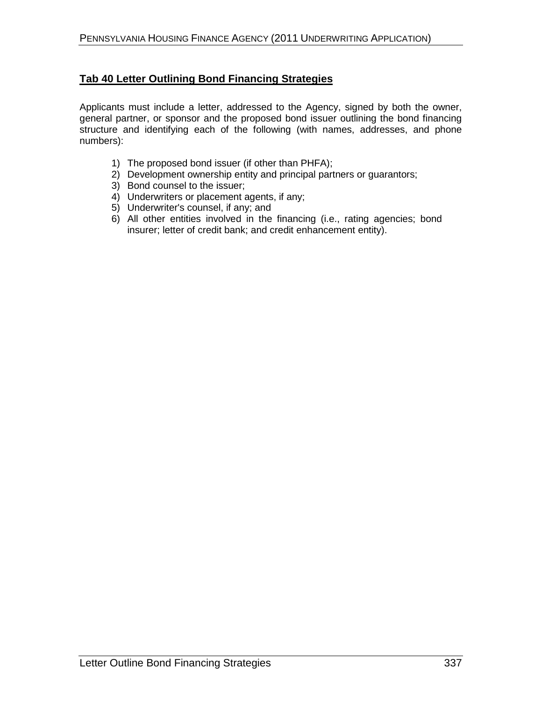### **Tab 40 Letter Outlining Bond Financing Strategies**

Applicants must include a letter, addressed to the Agency, signed by both the owner, general partner, or sponsor and the proposed bond issuer outlining the bond financing structure and identifying each of the following (with names, addresses, and phone numbers):

- 1) The proposed bond issuer (if other than PHFA);
- 2) Development ownership entity and principal partners or guarantors;
- 3) Bond counsel to the issuer;
- 4) Underwriters or placement agents, if any;
- 5) Underwriter's counsel, if any; and
- 6) All other entities involved in the financing (i.e., rating agencies; bond insurer; letter of credit bank; and credit enhancement entity).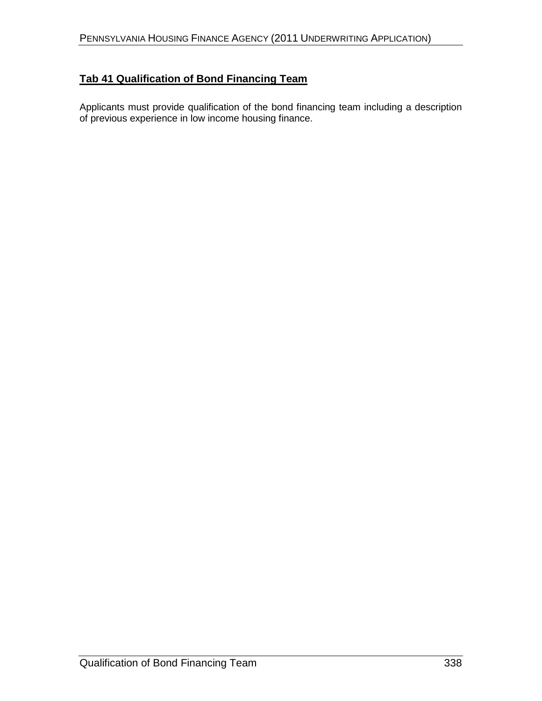# **Tab 41 Qualification of Bond Financing Team**

Applicants must provide qualification of the bond financing team including a description of previous experience in low income housing finance.